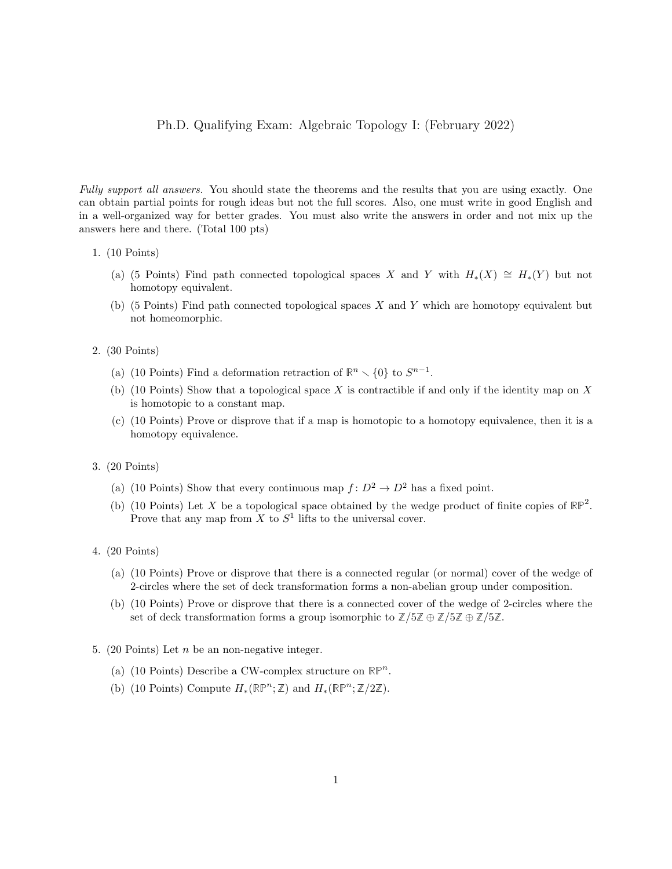#### Ph.D. Qualifying Exam: Algebraic Topology I: (February 2022)

Fully support all answers. You should state the theorems and the results that you are using exactly. One can obtain partial points for rough ideas but not the full scores. Also, one must write in good English and in a well-organized way for better grades. You must also write the answers in order and not mix up the answers here and there. (Total 100 pts)

- 1. (10 Points)
	- (a) (5 Points) Find path connected topological spaces X and Y with  $H_*(X) \cong H_*(Y)$  but not homotopy equivalent.
	- (b) (5 Points) Find path connected topological spaces  $X$  and  $Y$  which are homotopy equivalent but not homeomorphic.
- 2. (30 Points)
	- (a) (10 Points) Find a deformation retraction of  $\mathbb{R}^n \setminus \{0\}$  to  $S^{n-1}$ .
	- (b) (10 Points) Show that a topological space  $X$  is contractible if and only if the identity map on  $X$ is homotopic to a constant map.
	- (c) (10 Points) Prove or disprove that if a map is homotopic to a homotopy equivalence, then it is a homotopy equivalence.
- 3. (20 Points)
	- (a) (10 Points) Show that every continuous map  $f: D^2 \to D^2$  has a fixed point.
	- (b) (10 Points) Let X be a topological space obtained by the wedge product of finite copies of  $\mathbb{RP}^2$ . Prove that any map from X to  $S<sup>1</sup>$  lifts to the universal cover.
- 4. (20 Points)
	- (a) (10 Points) Prove or disprove that there is a connected regular (or normal) cover of the wedge of 2-circles where the set of deck transformation forms a non-abelian group under composition.
	- (b) (10 Points) Prove or disprove that there is a connected cover of the wedge of 2-circles where the set of deck transformation forms a group isomorphic to  $\mathbb{Z}/5\mathbb{Z} \oplus \mathbb{Z}/5\mathbb{Z} \oplus \mathbb{Z}/5\mathbb{Z}$ .
- 5. (20 Points) Let  $n$  be an non-negative integer.
	- (a) (10 Points) Describe a CW-complex structure on  $\mathbb{RP}^n$ .
	- (b) (10 Points) Compute  $H_*(\mathbb{RP}^n;\mathbb{Z})$  and  $H_*(\mathbb{RP}^n;\mathbb{Z}/2\mathbb{Z})$ .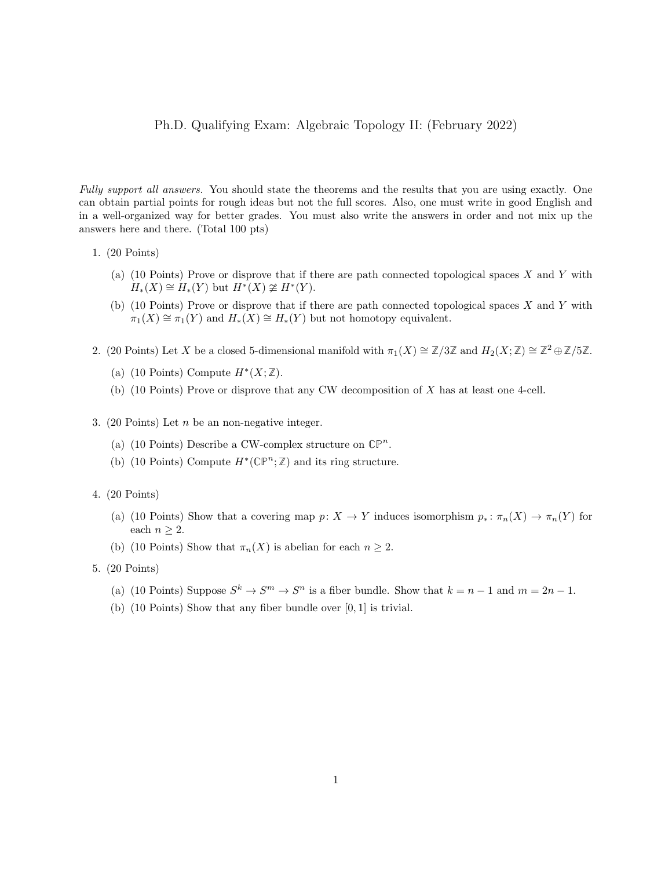#### Ph.D. Qualifying Exam: Algebraic Topology II: (February 2022)

Fully support all answers. You should state the theorems and the results that you are using exactly. One can obtain partial points for rough ideas but not the full scores. Also, one must write in good English and in a well-organized way for better grades. You must also write the answers in order and not mix up the answers here and there. (Total 100 pts)

- 1. (20 Points)
	- (a) (10 Points) Prove or disprove that if there are path connected topological spaces  $X$  and  $Y$  with  $H_*(X) \cong H_*(Y)$  but  $H^*(X) \ncong H^*(Y)$ .
	- (b) (10 Points) Prove or disprove that if there are path connected topological spaces X and Y with  $\pi_1(X) \cong \pi_1(Y)$  and  $H_*(X) \cong H_*(Y)$  but not homotopy equivalent.
- 2. (20 Points) Let X be a closed 5-dimensional manifold with  $\pi_1(X) \cong \mathbb{Z}/3\mathbb{Z}$  and  $H_2(X;\mathbb{Z}) \cong \mathbb{Z}^2 \oplus \mathbb{Z}/5\mathbb{Z}$ .
	- (a) (10 Points) Compute  $H^*(X;\mathbb{Z})$ .
	- (b) (10 Points) Prove or disprove that any CW decomposition of X has at least one 4-cell.
- 3. (20 Points) Let  $n$  be an non-negative integer.
	- (a) (10 Points) Describe a CW-complex structure on  $\mathbb{CP}^n$ .
	- (b) (10 Points) Compute  $H^*(\mathbb{CP}^n; \mathbb{Z})$  and its ring structure.
- 4. (20 Points)
	- (a) (10 Points) Show that a covering map  $p: X \to Y$  induces isomorphism  $p_*: \pi_n(X) \to \pi_n(Y)$  for each  $n \geq 2$ .
	- (b) (10 Points) Show that  $\pi_n(X)$  is abelian for each  $n \geq 2$ .
- 5. (20 Points)
	- (a) (10 Points) Suppose  $S^k \to S^m \to S^n$  is a fiber bundle. Show that  $k = n 1$  and  $m = 2n 1$ .
	- (b) (10 Points) Show that any fiber bundle over [0, 1] is trivial.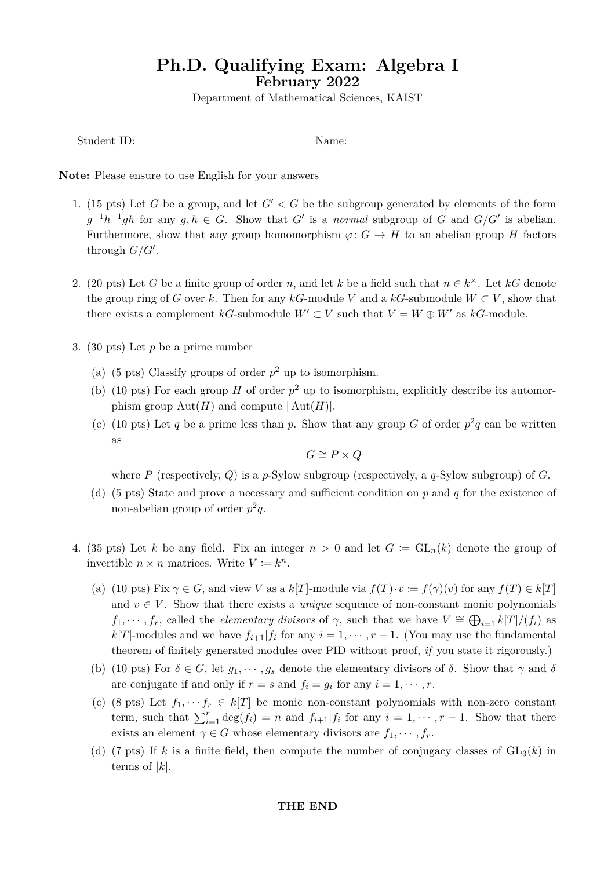## **Ph.D. Qualifying Exam: Algebra I February 2022**

Department of Mathematical Sciences, KAIST

Student ID: Name:

**Note:** Please ensure to use English for your answers

- 1. (15 pts) Let *G* be a group, and let  $G' < G$  be the subgroup generated by elements of the form  $g^{-1}h^{-1}gh$  for any  $g, h \in G$ . Show that *G'* is a *normal* subgroup of *G* and  $G/G'$  is abelian. Furthermore, show that any group homomorphism  $\varphi: G \to H$  to an abelian group *H* factors through *G/G′* .
- 2. (20 pts) Let *G* be a finite group of order *n*, and let *k* be a field such that  $n \in k^{\times}$ . Let *kG* denote the group ring of *G* over *k*. Then for any *kG*-module *V* and a *kG*-submodule  $W \subset V$ , show that there exists a complement  $kG$ -submodule  $W' \subset V$  such that  $V = W \oplus W'$  as  $kG$ -module.
- 3. (30 pts) Let *p* be a prime number
	- (a) (5 pts) Classify groups of order  $p^2$  up to isomorphism.
	- (b) (10 pts) For each group *H* of order  $p^2$  up to isomorphism, explicitly describe its automorphism group  $Aut(H)$  and compute  $|Aut(H)|$ .
	- (c) (10 pts) Let q be a prime less than p. Show that any group G of order  $p^2q$  can be written as

$$
G \cong P \rtimes Q
$$

where *P* (respectively, *Q*) is a *p*-Sylow subgroup (respectively, a *q*-Sylow subgroup) of *G*.

- (d) (5 pts) State and prove a necessary and sufficient condition on *p* and *q* for the existence of non-abelian group of order  $p^2q$ .
- 4. (35 pts) Let *k* be any field. Fix an integer  $n > 0$  and let  $G := GL_n(k)$  denote the group of invertible  $n \times n$  matrices. Write  $V \coloneqq k^n$ .
	- (a) (10 pts) Fix  $\gamma \in G$ , and view *V* as a  $k[T]$ -module via  $f(T) \cdot v := f(\gamma)(v)$  for any  $f(T) \in k[T]$ and  $v \in V$ . Show that there exists a *unique* sequence of non-constant monic polynomials *f*<sub>1</sub>*,*  $\cdots$  *, f<sub>r</sub>*, called the *elementary divisors* of  $\gamma$ , such that we have  $V \cong \bigoplus_{i=1} k[T]/(f_i)$  as *k*[*T*]-modules and we have  $f_{i+1}$ ] $f_i$  for any  $i = 1, \dots, r-1$ . (You may use the fundamental theorem of finitely generated modules over PID without proof, *if* you state it rigorously.)
	- (b) (10 pts) For  $\delta \in G$ , let  $g_1, \dots, g_s$  denote the elementary divisors of  $\delta$ . Show that  $\gamma$  and  $\delta$ are conjugate if and only if  $r = s$  and  $f_i = g_i$  for any  $i = 1, \dots, r$ .
	- (c) (8 pts) Let  $f_1, \dots, f_r \in k[T]$  be monic non-constant polynomials with non-zero constant term, such that  $\sum_{i=1}^{r} \deg(f_i) = n$  and  $f_{i+1} | f_i$  for any  $i = 1, \dots, r-1$ . Show that there exists an element  $\gamma \in G$  whose elementary divisors are  $f_1, \dots, f_r$ .
	- (d) (7 pts) If k is a finite field, then compute the number of conjugacy classes of  $GL_3(k)$  in terms of *|k|*.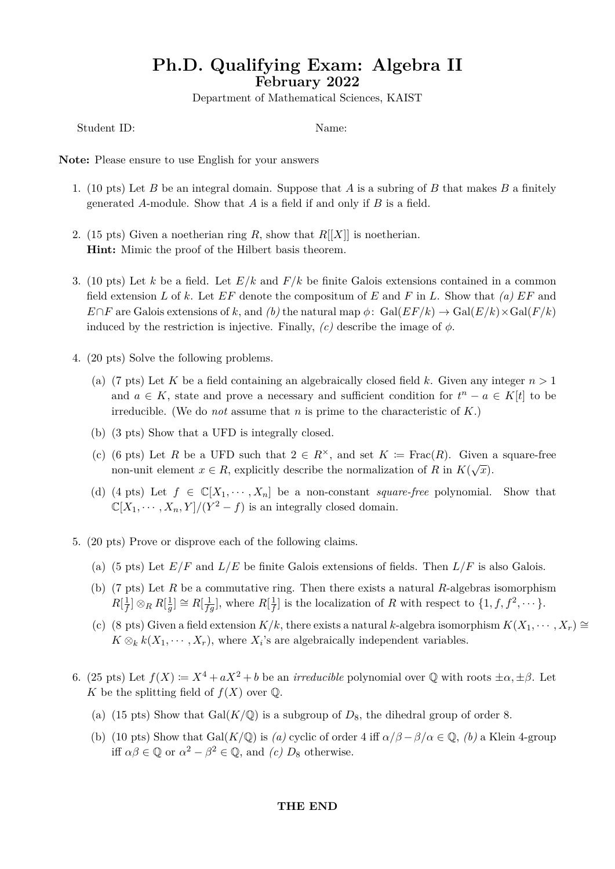## **Ph.D. Qualifying Exam: Algebra II February 2022**

Department of Mathematical Sciences, KAIST

Student ID: Name:

**Note:** Please ensure to use English for your answers

- 1. (10 pts) Let *B* be an integral domain. Suppose that *A* is a subring of *B* that makes *B* a finitely generated *A*-module. Show that *A* is a field if and only if *B* is a field.
- 2. (15 pts) Given a noetherian ring *R*, show that  $R[[X]]$  is noetherian. **Hint:** Mimic the proof of the Hilbert basis theorem.
- 3. (10 pts) Let *k* be a field. Let *E/k* and *F/k* be finite Galois extensions contained in a common field extension *L* of *k*. Let *EF* denote the compositum of *E* and *F* in *L*. Show that *(a) EF* and  $E \cap F$  are Galois extensions of *k*, and *(b)* the natural map  $\phi$ : Gal( $E/Fk$ )  $\rightarrow$  Gal( $E/k$ ) $\times$ Gal( $F/k$ ) induced by the restriction is injective. Finally,  $(c)$  describe the image of  $\phi$ .
- 4. (20 pts) Solve the following problems.
	- (a) (7 pts) Let K be a field containing an algebraically closed field k. Given any integer  $n > 1$ and  $a \in K$ , state and prove a necessary and sufficient condition for  $t^n - a \in K[t]$  to be irreducible. (We do *not* assume that *n* is prime to the characteristic of *K*.)
	- (b) (3 pts) Show that a UFD is integrally closed.
	- (c) (6 pts) Let *R* be a UFD such that  $2 \in R^{\times}$ , and set  $K := \text{Frac}(R)$ . Given a square-free non-unit element  $x \in R$ , explicitly describe the normalization of *R* in  $K(\sqrt{x})$ .
	- (d) (4 pts) Let  $f \in \mathbb{C}[X_1, \dots, X_n]$  be a non-constant *square-free* polynomial. Show that  $\mathbb{C}[X_1, \cdots, X_n, Y]/(Y^2 - f)$  is an integrally closed domain.
- 5. (20 pts) Prove or disprove each of the following claims.
	- (a) (5 pts) Let  $E/F$  and  $L/E$  be finite Galois extensions of fields. Then  $L/F$  is also Galois.
	- (b) (7 pts) Let *R* be a commutative ring. Then there exists a natural *R*-algebras isomorphism  $R[\frac{1}{f}]$  $\frac{1}{f}]\otimes_R R[\frac{1}{g}]$  $\frac{1}{g}$  ≥  $R[\frac{1}{fg}]$ , where  $R[\frac{1}{f}]$  $\frac{1}{f}$  is the localization of *R* with respect to  $\{1, f, f^2, \dots\}$ .
	- (c) (8 pts) Given a field extension  $K/k$ , there exists a natural *k*-algebra isomorphism  $K(X_1, \dots, X_r) \cong$  $K \otimes_k k(X_1, \dots, X_r)$ , where  $X_i$ 's are algebraically independent variables.
- 6. (25 pts) Let  $f(X) \coloneqq X^4 + aX^2 + b$  be an *irreducible* polynomial over  $\mathbb Q$  with roots  $\pm \alpha, \pm \beta$ . Let *K* be the splitting field of  $f(X)$  over  $\mathbb Q$ .
	- (a) (15 pts) Show that  $Gal(K/\mathbb{Q})$  is a subgroup of  $D_8$ , the dihedral group of order 8.
	- (b) (10 pts) Show that Gal( $K/\mathbb{Q}$ ) is *(a)* cyclic of order 4 iff  $\alpha/\beta \beta/\alpha \in \mathbb{Q}$ , *(b)* a Klein 4-group iff  $\alpha\beta \in \mathbb{Q}$  or  $\alpha^2 - \beta^2 \in \mathbb{Q}$ , and *(c)*  $D_8$  otherwise.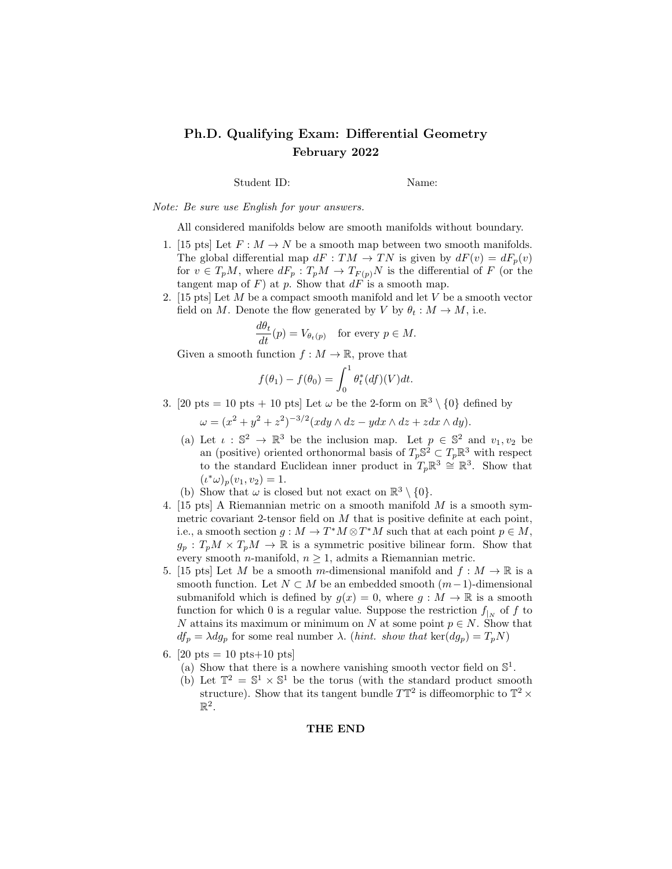### Ph.D. Qualifying Exam: Differential Geometry February 2022

Student ID: Name:

Note: Be sure use English for your answers.

All considered manifolds below are smooth manifolds without boundary.

- 1. [15 pts] Let  $F: M \to N$  be a smooth map between two smooth manifolds. The global differential map  $dF: TM \to TN$  is given by  $dF(v) = dF_p(v)$ for  $v \in T_pM$ , where  $dF_p: T_pM \to T_{F(p)}N$  is the differential of F (or the tangent map of  $F$ ) at  $p$ . Show that  $dF$  is a smooth map.
- 2. [15 pts] Let M be a compact smooth manifold and let V be a smooth vector field on M. Denote the flow generated by V by  $\theta_t : M \to M$ , i.e.

$$
\frac{d\theta_t}{dt}(p) = V_{\theta_t(p)} \quad \text{for every } p \in M.
$$

Given a smooth function  $f : M \to \mathbb{R}$ , prove that

$$
f(\theta_1) - f(\theta_0) = \int_0^1 \theta_t^*(df)(V)dt.
$$

3. [20 pts = 10 pts + 10 pts] Let  $\omega$  be the 2-form on  $\mathbb{R}^3 \setminus \{0\}$  defined by

 $\omega = (x^2 + y^2 + z^2)^{-3/2} (xdy \wedge dz - ydx \wedge dz + zdx \wedge dy).$ 

- (a) Let  $\iota : \mathbb{S}^2 \to \mathbb{R}^3$  be the inclusion map. Let  $p \in \mathbb{S}^2$  and  $v_1, v_2$  be an (positive) oriented orthonormal basis of  $T_p \mathbb{S}^2 \subset T_p \mathbb{R}^3$  with respect to the standard Euclidean inner product in  $T_p \mathbb{R}^3 \cong \mathbb{R}^3$ . Show that  $(\iota^*\omega)_p(v_1,v_2)=1.$
- (b) Show that  $\omega$  is closed but not exact on  $\mathbb{R}^3 \setminus \{0\}.$
- 4. [15 pts] A Riemannian metric on a smooth manifold M is a smooth symmetric covariant 2-tensor field on  $M$  that is positive definite at each point, i.e., a smooth section  $g: M \to T^*M \otimes T^*M$  such that at each point  $p \in M$ ,  $g_p: T_pM \times T_pM \to \mathbb{R}$  is a symmetric positive bilinear form. Show that every smooth *n*-manifold,  $n \geq 1$ , admits a Riemannian metric.
- 5. [15 pts] Let M be a smooth m-dimensional manifold and  $f : M \to \mathbb{R}$  is a smooth function. Let  $N \subset M$  be an embedded smooth  $(m-1)$ -dimensional submanifold which is defined by  $g(x) = 0$ , where  $g : M \to \mathbb{R}$  is a smooth function for which 0 is a regular value. Suppose the restriction  $f_{|N}$  of f to N attains its maximum or minimum on N at some point  $p \in N$ . Show that  $df_p = \lambda dg_p$  for some real number  $\lambda$ . (*hint.* show that ker( $dg_p$ ) =  $T_pN$ )
- 6. [20 pts = 10 pts+10 pts]
	- (a) Show that there is a nowhere vanishing smooth vector field on  $\mathbb{S}^1$ .
	- (b) Let  $\mathbb{T}^2 = \mathbb{S}^1 \times \mathbb{S}^1$  be the torus (with the standard product smooth structure). Show that its tangent bundle  $T\mathbb{T}^2$  is diffeomorphic to  $\mathbb{T}^2 \times$  $\mathbb{R}^2$ .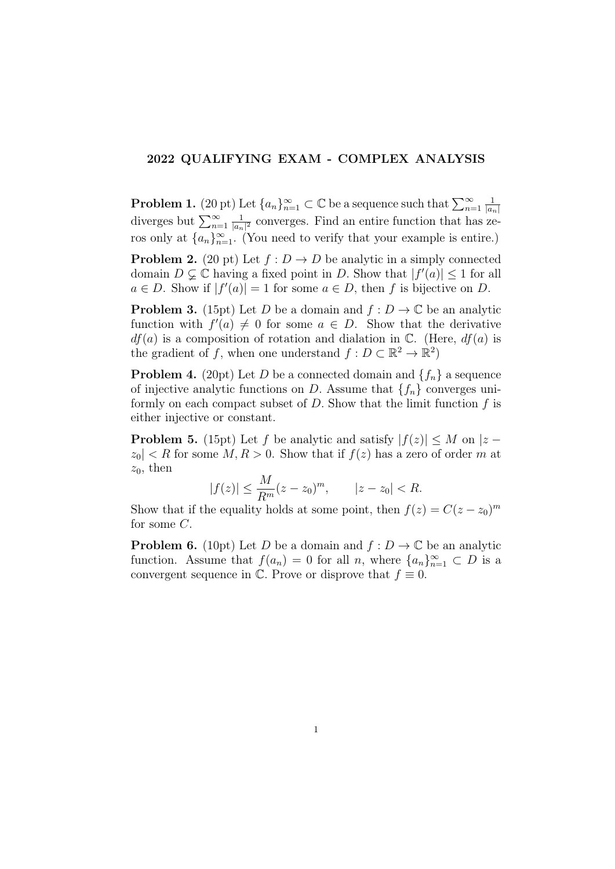#### 2022 QUALIFYING EXAM - COMPLEX ANALYSIS

**Problem 1.** (20 pt) Let  $\{a_n\}_{n=1}^{\infty} \subset \mathbb{C}$  be a sequence such that  $\sum_{n=1}^{\infty}$ 1  $|a_n|$ diverges but  $\sum_{n=1}^{\infty}$ 1  $\frac{1}{|a_n|^2}$  converges. Find an entire function that has zeros only at  $\{a_n\}_{n=1}^{\infty}$ . (You need to verify that your example is entire.)

**Problem 2.** (20 pt) Let  $f: D \to D$  be analytic in a simply connected domain  $D \subsetneq \mathbb{C}$  having a fixed point in D. Show that  $|f'(a)| \leq 1$  for all  $a \in D$ . Show if  $|f'(a)| = 1$  for some  $a \in D$ , then f is bijective on D.

**Problem 3.** (15pt) Let D be a domain and  $f: D \to \mathbb{C}$  be an analytic function with  $f'(a) \neq 0$  for some  $a \in D$ . Show that the derivative  $df(a)$  is a composition of rotation and dialation in  $\mathbb{C}$ . (Here,  $df(a)$  is the gradient of f, when one understand  $f: D \subset \mathbb{R}^2 \to \mathbb{R}^2$ 

**Problem 4.** (20pt) Let D be a connected domain and  $\{f_n\}$  a sequence of injective analytic functions on D. Assume that  $\{f_n\}$  converges uniformly on each compact subset of  $D$ . Show that the limit function  $f$  is either injective or constant.

**Problem 5.** (15pt) Let f be analytic and satisfy  $|f(z)| \leq M$  on  $|z |z_0| < R$  for some  $M, R > 0$ . Show that if  $f(z)$  has a zero of order m at  $z_0$ , then

$$
|f(z)| \le \frac{M}{R^m}(z - z_0)^m, \qquad |z - z_0| < R.
$$

Show that if the equality holds at some point, then  $f(z) = C(z - z_0)^m$ for some  $C$ .

**Problem 6.** (10pt) Let D be a domain and  $f: D \to \mathbb{C}$  be an analytic function. Assume that  $f(a_n) = 0$  for all n, where  $\{a_n\}_{n=1}^{\infty} \subset D$  is a convergent sequence in  $\mathbb C$ . Prove or disprove that  $f \equiv 0$ .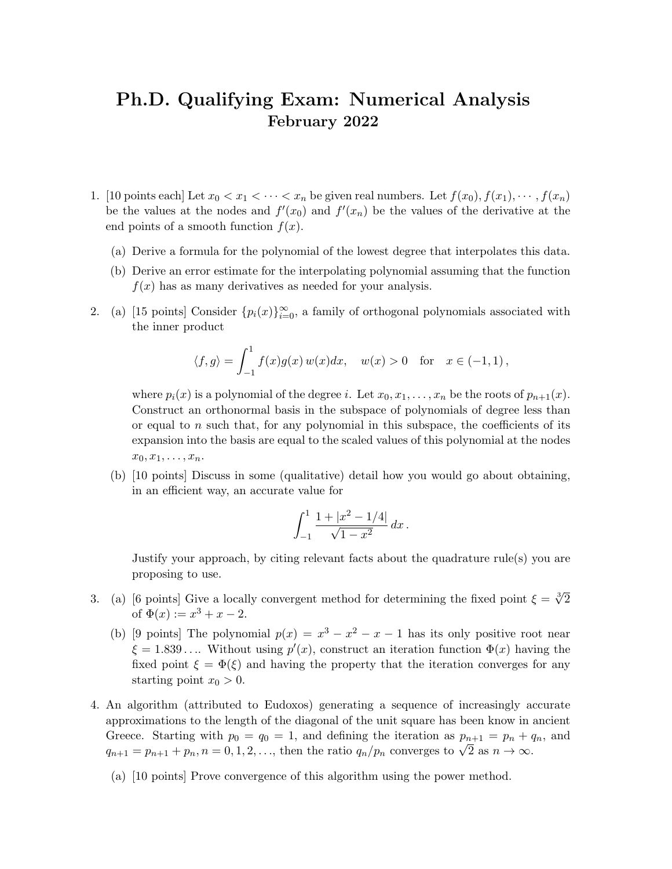## Ph.D. Qualifying Exam: Numerical Analysis February 2022

- 1. [10 points each] Let  $x_0 < x_1 < \cdots < x_n$  be given real numbers. Let  $f(x_0), f(x_1), \cdots, f(x_n)$ be the values at the nodes and  $f'(x_0)$  and  $f'(x_n)$  be the values of the derivative at the end points of a smooth function  $f(x)$ .
	- (a) Derive a formula for the polynomial of the lowest degree that interpolates this data.
	- (b) Derive an error estimate for the interpolating polynomial assuming that the function  $f(x)$  has as many derivatives as needed for your analysis.
- 2. (a) [15 points] Consider  $\{p_i(x)\}_{i=0}^{\infty}$ , a family of orthogonal polynomials associated with the inner product

$$
\langle f, g \rangle = \int_{-1}^{1} f(x)g(x) w(x) dx, \quad w(x) > 0 \quad \text{for} \quad x \in (-1, 1),
$$

where  $p_i(x)$  is a polynomial of the degree i. Let  $x_0, x_1, \ldots, x_n$  be the roots of  $p_{n+1}(x)$ . Construct an orthonormal basis in the subspace of polynomials of degree less than or equal to n such that, for any polynomial in this subspace, the coefficients of its expansion into the basis are equal to the scaled values of this polynomial at the nodes  $x_0, x_1, \ldots, x_n$ .

(b) [10 points] Discuss in some (qualitative) detail how you would go about obtaining, in an efficient way, an accurate value for

$$
\int_{-1}^{1} \frac{1+|x^2-1/4|}{\sqrt{1-x^2}} dx.
$$

Justify your approach, by citing relevant facts about the quadrature rule(s) you are proposing to use.

- 3. (a) [6 points] Give a locally convergent method for determining the fixed point  $\xi = \sqrt[3]{2}$ of  $\Phi(x) := x^3 + x - 2$ .
	- (b) [9 points] The polynomial  $p(x) = x^3 x^2 x 1$  has its only positive root near  $\xi = 1.839...$  Without using  $p'(x)$ , construct an iteration function  $\Phi(x)$  having the fixed point  $\xi = \Phi(\xi)$  and having the property that the iteration converges for any starting point  $x_0 > 0$ .
- 4. An algorithm (attributed to Eudoxos) generating a sequence of increasingly accurate approximations to the length of the diagonal of the unit square has been know in ancient Greece. Starting with  $p_0 = q_0 = 1$ , and defining the iteration as  $p_{n+1} = p_n + q_n$ , and Greece. Starting with  $p_0 = q_0 = 1$ , and defining the relation as  $p_{n+1} = p_n + q_{n+1} = p_{n+1} + p_n$ ,  $n = 0, 1, 2, \ldots$ , then the ratio  $q_n/p_n$  converges to  $\sqrt{2}$  as  $n \to \infty$ .
	- (a) [10 points] Prove convergence of this algorithm using the power method.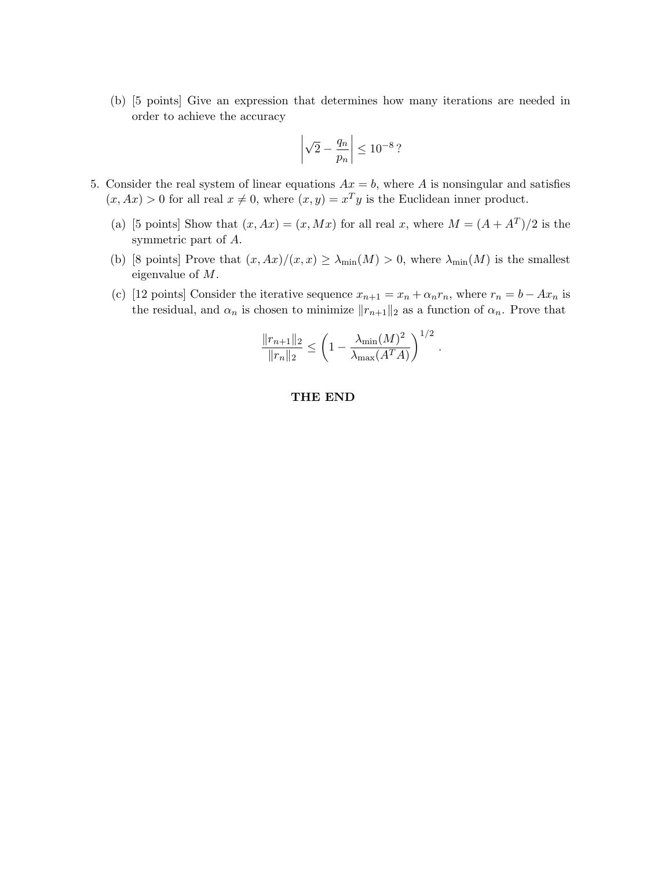(b) [5 points] Give an expression that determines how many iterations are needed in order to achieve the accuracy

$$
\left|\sqrt{2} - \frac{q_n}{p_n}\right| \le 10^{-8}\,?
$$

- 5. Consider the real system of linear equations  $Ax = b$ , where A is nonsingular and satisfies  $(x, Ax) > 0$  for all real  $x \neq 0$ , where  $(x, y) = x<sup>T</sup>y$  is the Euclidean inner product.
	- (a) [5 points] Show that  $(x, Ax) = (x, Mx)$  for all real x, where  $M = (A + A^T)/2$  is the symmetric part of A.
	- (b) [8 points] Prove that  $(x, Ax)/(x, x) \ge \lambda_{\min}(M) > 0$ , where  $\lambda_{\min}(M)$  is the smallest eigenvalue of M.
	- (c) [12 points] Consider the iterative sequence  $x_{n+1} = x_n + \alpha_n r_n$ , where  $r_n = b Ax_n$  is the residual, and  $\alpha_n$  is chosen to minimize  $||r_{n+1}||_2$  as a function of  $\alpha_n$ . Prove that

$$
\frac{\|r_{n+1}\|_2}{\|r_n\|_2} \le \left(1 - \frac{\lambda_{\min}(M)^2}{\lambda_{\max}(A^T A)}\right)^{1/2}.
$$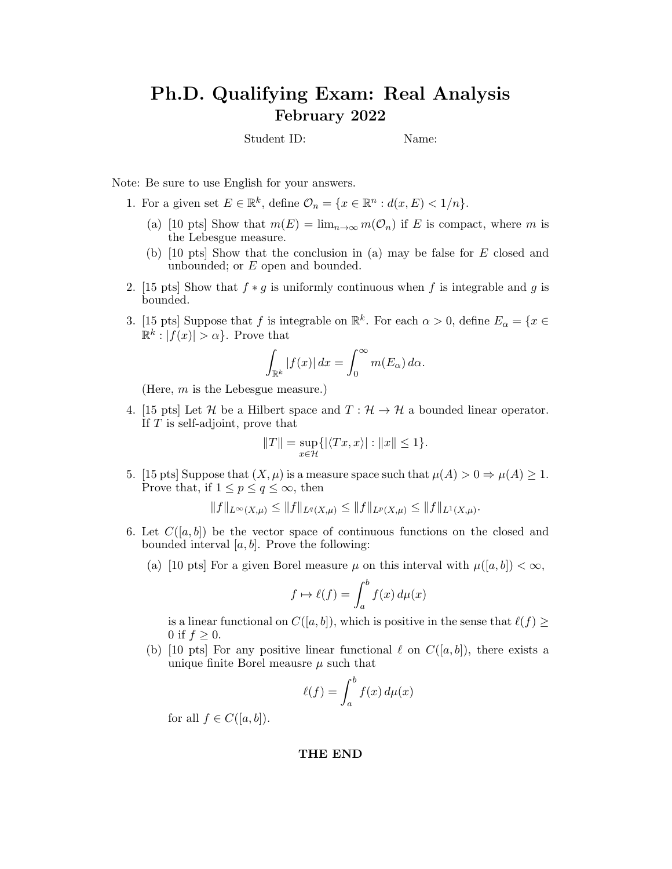# Ph.D. Qualifying Exam: Real Analysis February 2022

Student ID: Name:

Note: Be sure to use English for your answers.

1. For a given set  $E \in \mathbb{R}^k$ , define  $\mathcal{O}_n = \{x \in \mathbb{R}^n : d(x, E) < 1/n\}.$ 

- (a) [10 pts] Show that  $m(E) = \lim_{n\to\infty} m(\mathcal{O}_n)$  if E is compact, where m is the Lebesgue measure.
- (b) [10 pts] Show that the conclusion in (a) may be false for E closed and unbounded; or E open and bounded.
- 2. [15 pts] Show that  $f * g$  is uniformly continuous when f is integrable and g is bounded.
- 3. [15 pts] Suppose that f is integrable on  $\mathbb{R}^k$ . For each  $\alpha > 0$ , define  $E_{\alpha} = \{x \in$  $\mathbb{R}^k : |f(x)| > \alpha$ . Prove that

$$
\int_{\mathbb{R}^k} |f(x)| dx = \int_0^\infty m(E_\alpha) d\alpha.
$$

(Here, m is the Lebesgue measure.)

4. [15 pts] Let H be a Hilbert space and  $T : \mathcal{H} \to \mathcal{H}$  a bounded linear operator. If T is self-adjoint, prove that

$$
||T|| = \sup_{x \in \mathcal{H}} \{ |\langle Tx, x \rangle| : ||x|| \le 1 \}.
$$

5. [15 pts] Suppose that  $(X, \mu)$  is a measure space such that  $\mu(A) > 0 \Rightarrow \mu(A) \ge 1$ . Prove that, if  $1 \leq p \leq q \leq \infty$ , then

 $||f||_{L^{\infty}(X,\mu)} \leq ||f||_{L^{q}(X,\mu)} \leq ||f||_{L^{p}(X,\mu)} \leq ||f||_{L^{1}(X,\mu)}.$ 

- 6. Let  $C([a, b])$  be the vector space of continuous functions on the closed and bounded interval  $[a, b]$ . Prove the following:
	- (a) [10 pts] For a given Borel measure  $\mu$  on this interval with  $\mu([a, b]) < \infty$ ,

$$
f \mapsto \ell(f) = \int_a^b f(x) \, d\mu(x)
$$

is a linear functional on  $C([a, b])$ , which is positive in the sense that  $\ell(f) \geq$ 0 if  $f \geq 0$ .

(b) [10 pts] For any positive linear functional  $\ell$  on  $C([a, b])$ , there exists a unique finite Borel meausre  $\mu$  such that

$$
\ell(f) = \int_a^b f(x) \, d\mu(x)
$$

for all  $f \in C([a, b])$ .